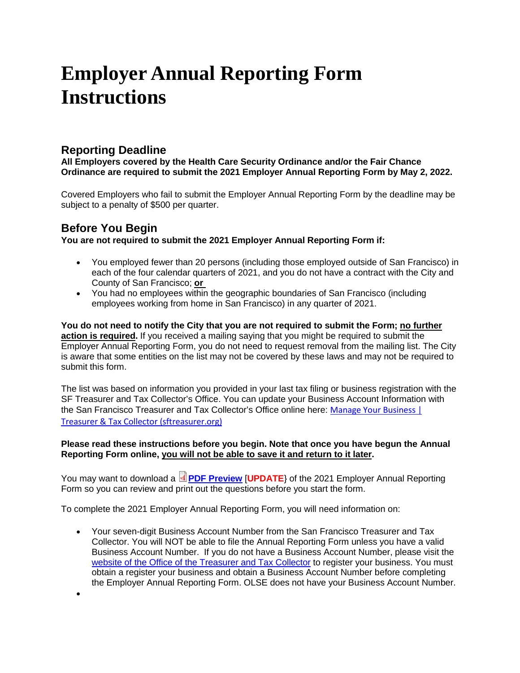# **Employer Annual Reporting Form Instructions**

## **Reporting Deadline**

**All Employers covered by the Health Care Security Ordinance and/or the Fair Chance Ordinance are required to submit the 2021 Employer Annual Reporting Form by May 2, 2022.**

Covered Employers who fail to submit the Employer Annual Reporting Form by the deadline may be subject to a penalty of \$500 per quarter.

# **Before You Begin**

•

**You are not required to submit the 2021 Employer Annual Reporting Form if:** 

- You employed fewer than 20 persons (including those employed outside of San Francisco) in each of the four calendar quarters of 2021, and you do not have a contract with the City and County of San Francisco; **or**
- You had no employees within the geographic boundaries of San Francisco (including employees working from home in San Francisco) in any quarter of 2021.

**You do not need to notify the City that you are not required to submit the Form; no further action is required.** If you received a mailing saying that you might be required to submit the Employer Annual Reporting Form, you do not need to request removal from the mailing list. The City is aware that some entities on the list may not be covered by these laws and may not be required to submit this form.

The list was based on information you provided in your last tax filing or business registration with the SF Treasurer and Tax Collector's Office. You can update your Business Account Information with the San Francisco Treasurer and Tax Collector's Office online here: [Manage Your Business |](https://sftreasurer.org/business/manage-your-business)  [Treasurer & Tax Collector \(sftreasurer.org\)](https://sftreasurer.org/business/manage-your-business)

#### **Please read these instructions before you begin. Note that once you have begun the Annual Reporting Form online, you will not be able to save it and return to it later.**

You may want to download a **[PDF Preview](https://sfgov.org/olse/sites/default/files/Document/HCSO%20Files/2017%20ARF%20Screenshots.pdf)** [UPDATE] of the 2021 Employer Annual Reporting Form so you can review and print out the questions before you start the form.

To complete the 2021 Employer Annual Reporting Form, you will need information on:

• Your seven-digit Business Account Number from the San Francisco Treasurer and Tax Collector. You will NOT be able to file the Annual Reporting Form unless you have a valid Business Account Number. If you do not have a Business Account Number, please visit the website of the [Office of the Treasurer and Tax Collector](http://sftreasurer.org/registration) to register your business. You must obtain a register your business and obtain a Business Account Number before completing the Employer Annual Reporting Form. OLSE does not have your Business Account Number.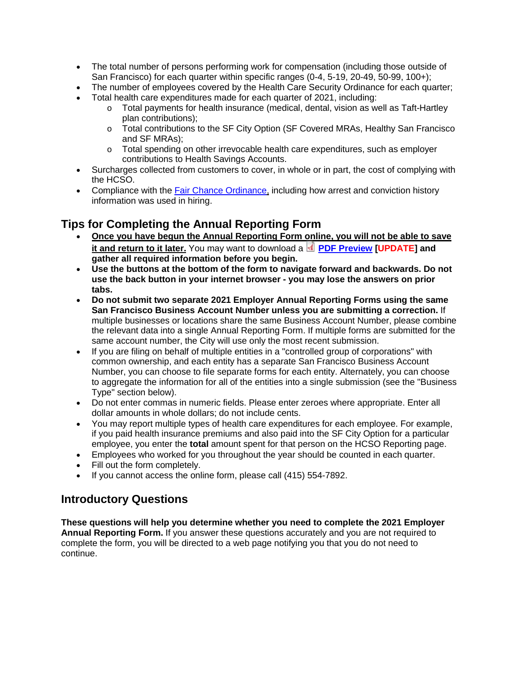- The total number of persons performing work for compensation (including those outside of San Francisco) for each quarter within specific ranges (0-4, 5-19, 20-49, 50-99, 100+);
- The number of employees covered by the Health Care Security Ordinance for each quarter;
- Total health care expenditures made for each quarter of 2021, including:
	- o Total payments for health insurance (medical, dental, vision as well as Taft-Hartley plan contributions);
	- o Total contributions to the SF City Option (SF Covered MRAs, Healthy San Francisco and SF MRAs);
	- o Total spending on other irrevocable health care expenditures, such as employer contributions to Health Savings Accounts.
- Surcharges collected from customers to cover, in whole or in part, the cost of complying with the HCSO.
- Compliance with the **Fair Chance Ordinance**, including how arrest and conviction history information was used in hiring.

### **Tips for Completing the Annual Reporting Form**

- **Once you have begun the Annual Reporting Form online, you will not be able to save it and return to it later.** You may want to download a **[PDF Preview](https://sfgov.org/olse/sites/default/files/Document/HCSO%20Files/2017%20ARF%20Screenshots.pdf) [UPDATE]** and **gather all required information before you begin.**
- **Use the buttons at the bottom of the form to navigate forward and backwards. Do not use the back button in your internet browser - you may lose the answers on prior tabs.**
- **Do not submit two separate 2021 Employer Annual Reporting Forms using the same San Francisco Business Account Number unless you are submitting a correction.** If multiple businesses or locations share the same Business Account Number, please combine the relevant data into a single Annual Reporting Form. If multiple forms are submitted for the same account number, the City will use only the most recent submission.
- If you are filing on behalf of multiple entities in a "controlled group of corporations" with common ownership, and each entity has a separate San Francisco Business Account Number, you can choose to file separate forms for each entity. Alternately, you can choose to aggregate the information for all of the entities into a single submission (see the "Business Type" section below).
- Do not enter commas in numeric fields. Please enter zeroes where appropriate. Enter all dollar amounts in whole dollars; do not include cents.
- You may report multiple types of health care expenditures for each employee. For example, if you paid health insurance premiums and also paid into the SF City Option for a particular employee, you enter the **total** amount spent for that person on the HCSO Reporting page.
- Employees who worked for you throughout the year should be counted in each quarter.
- Fill out the form completely.
- If you cannot access the online form, please call (415) 554-7892.

### **Introductory Questions**

**These questions will help you determine whether you need to complete the 2021 Employer Annual Reporting Form.** If you answer these questions accurately and you are not required to complete the form, you will be directed to a web page notifying you that you do not need to continue.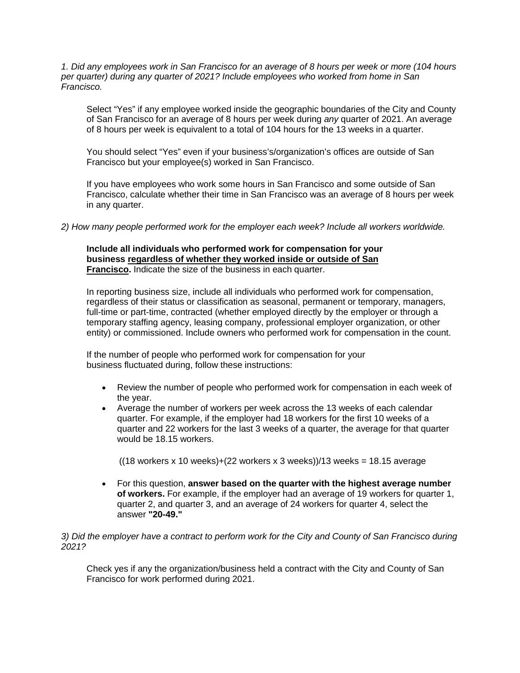*1. Did any employees work in San Francisco for an average of 8 hours per week or more (104 hours per quarter) during any quarter of 2021? Include employees who worked from home in San Francisco.* 

Select "Yes" if any employee worked inside the geographic boundaries of the City and County of San Francisco for an average of 8 hours per week during *any* quarter of 2021. An average of 8 hours per week is equivalent to a total of 104 hours for the 13 weeks in a quarter.

You should select "Yes" even if your business's/organization's offices are outside of San Francisco but your employee(s) worked in San Francisco.

If you have employees who work some hours in San Francisco and some outside of San Francisco, calculate whether their time in San Francisco was an average of 8 hours per week in any quarter.

*2) How many people performed work for the employer each week? Include all workers worldwide.*

**Include all individuals who performed work for compensation for your business regardless of whether they worked inside or outside of San Francisco.** Indicate the size of the business in each quarter.

In reporting business size, include all individuals who performed work for compensation, regardless of their status or classification as seasonal, permanent or temporary, managers, full-time or part-time, contracted (whether employed directly by the employer or through a temporary staffing agency, leasing company, professional employer organization, or other entity) or commissioned. Include owners who performed work for compensation in the count.

If the number of people who performed work for compensation for your business fluctuated during, follow these instructions:

- Review the number of people who performed work for compensation in each week of the year.
- Average the number of workers per week across the 13 weeks of each calendar quarter. For example, if the employer had 18 workers for the first 10 weeks of a quarter and 22 workers for the last 3 weeks of a quarter, the average for that quarter would be 18.15 workers.

 $((18 \text{ workers} \times 10 \text{ weeks})+(22 \text{ workers} \times 3 \text{ weeks}))/13 \text{ weeks} = 18.15 \text{ average}$ 

• For this question, **answer based on the quarter with the highest average number of workers.** For example, if the employer had an average of 19 workers for quarter 1, quarter 2, and quarter 3, and an average of 24 workers for quarter 4, select the answer **"20-49."** 

#### *3) Did the employer have a contract to perform work for the City and County of San Francisco during 2021?*

Check yes if any the organization/business held a contract with the City and County of San Francisco for work performed during 2021.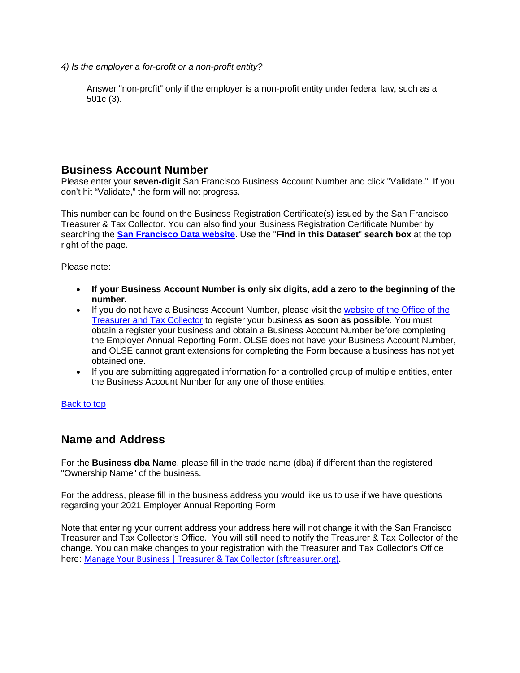*4) Is the employer a for-profit or a non-profit entity?* 

Answer "non-profit" only if the employer is a non-profit entity under federal law, such as a 501c (3).

### **Business Account Number**

Please enter your **seven-digit** San Francisco Business Account Number and click "Validate." If you don't hit "Validate," the form will not progress.

This number can be found on the Business Registration Certificate(s) issued by the San Francisco Treasurer & Tax Collector. You can also find your Business Registration Certificate Number by searching the **[San Francisco Data website](https://data.sfgov.org/Economy-and-Community/Registered-Business-Locations-San-Francisco/g8m3-pdis/data)**. Use the "**Find in this Dataset**" **search box** at the top right of the page.

Please note:

- **If your Business Account Number is only six digits, add a zero to the beginning of the number.**
- If you do not have a Business Account Number, please visit the website of the [Office of the](http://sftreasurer.org/registration)  [Treasurer and Tax Collector](http://sftreasurer.org/registration) to register your business **as soon as possible**. You must obtain a register your business and obtain a Business Account Number before completing the Employer Annual Reporting Form. OLSE does not have your Business Account Number, and OLSE cannot grant extensions for completing the Form because a business has not yet obtained one.
- If you are submitting aggregated information for a controlled group of multiple entities, enter the Business Account Number for any one of those entities.

[Back to top](https://sfgov.org/olse/employer-annual-reporting-form-instructions#deadline) 

### **Name and Address**

For the **Business dba Name**, please fill in the trade name (dba) if different than the registered "Ownership Name" of the business.

For the address, please fill in the business address you would like us to use if we have questions regarding your 2021 Employer Annual Reporting Form.

Note that entering your current address your address here will not change it with the San Francisco Treasurer and Tax Collector's Office. You will still need to notify the Treasurer & Tax Collector of the change. You can make changes to your registration with the Treasurer and Tax Collector's Office here: [Manage Your Business | Treasurer & Tax Collector \(sftreasurer.org\).](https://sftreasurer.org/business/manage-your-business)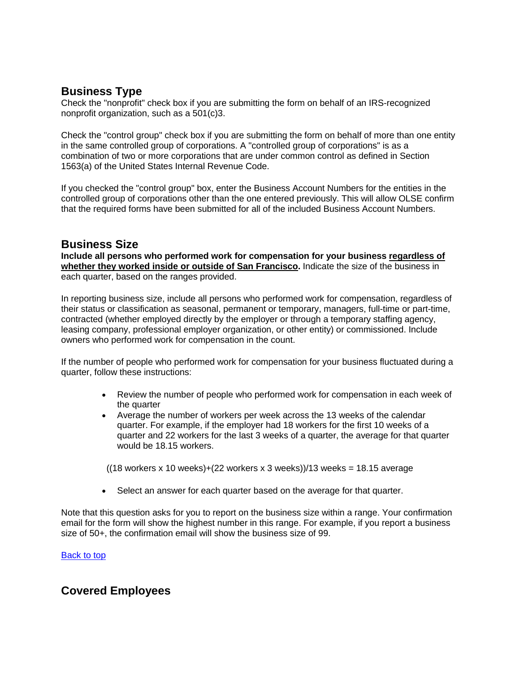# **Business Type**

Check the "nonprofit" check box if you are submitting the form on behalf of an IRS-recognized nonprofit organization, such as a 501(c)3.

Check the "control group" check box if you are submitting the form on behalf of more than one entity in the same controlled group of corporations. A "controlled group of corporations" is as a combination of two or more corporations that are under common control as defined in Section 1563(a) of the United States Internal Revenue Code.

If you checked the "control group" box, enter the Business Account Numbers for the entities in the controlled group of corporations other than the one entered previously. This will allow OLSE confirm that the required forms have been submitted for all of the included Business Account Numbers.

### **Business Size**

**Include all persons who performed work for compensation for your business regardless of whether they worked inside or outside of San Francisco.** Indicate the size of the business in each quarter, based on the ranges provided.

In reporting business size, include all persons who performed work for compensation, regardless of their status or classification as seasonal, permanent or temporary, managers, full-time or part-time, contracted (whether employed directly by the employer or through a temporary staffing agency, leasing company, professional employer organization, or other entity) or commissioned. Include owners who performed work for compensation in the count.

If the number of people who performed work for compensation for your business fluctuated during a quarter, follow these instructions:

- Review the number of people who performed work for compensation in each week of the quarter
- Average the number of workers per week across the 13 weeks of the calendar quarter. For example, if the employer had 18 workers for the first 10 weeks of a quarter and 22 workers for the last 3 weeks of a quarter, the average for that quarter would be 18.15 workers.

( $(18$  workers x 10 weeks)+ $(22$  workers x 3 weeks) $)/13$  weeks = 18.15 average

• Select an answer for each quarter based on the average for that quarter.

Note that this question asks for you to report on the business size within a range. Your confirmation email for the form will show the highest number in this range. For example, if you report a business size of 50+, the confirmation email will show the business size of 99.

[Back to top](https://sfgov.org/olse/employer-annual-reporting-form-instructions#deadline) 

### **Covered Employees**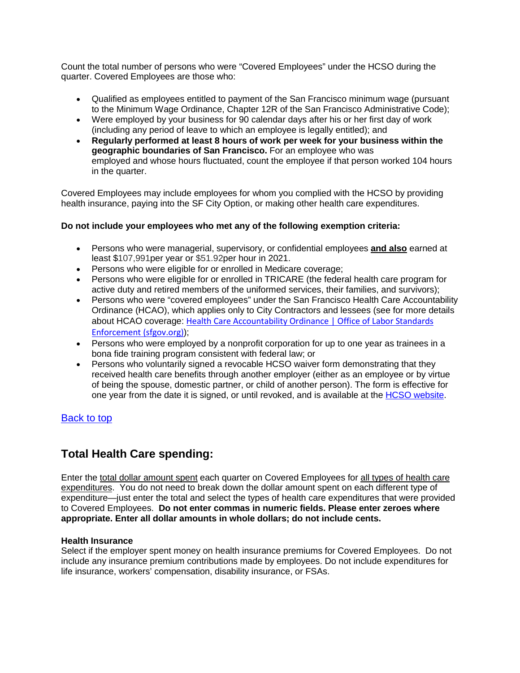Count the total number of persons who were "Covered Employees" under the HCSO during the quarter. Covered Employees are those who:

- Qualified as employees entitled to payment of the San Francisco minimum wage (pursuant to the Minimum Wage Ordinance, Chapter 12R of the San Francisco Administrative Code);
- Were employed by your business for 90 calendar days after his or her first day of work (including any period of leave to which an employee is legally entitled); and
- **Regularly performed at least 8 hours of work per week for your business within the geographic boundaries of San Francisco.** For an employee who was employed and whose hours fluctuated, count the employee if that person worked 104 hours in the quarter.

Covered Employees may include employees for whom you complied with the HCSO by providing health insurance, paying into the SF City Option, or making other health care expenditures.

### **Do not include your employees who met any of the following exemption criteria:**

- Persons who were managerial, supervisory, or confidential employees **and also** earned at least \$107,991per year or \$51.92per hour in 2021.
- Persons who were eligible for or enrolled in Medicare coverage;
- Persons who were eligible for or enrolled in TRICARE (the federal health care program for active duty and retired members of the uniformed services, their families, and survivors);
- Persons who were "covered employees" under the San Francisco Health Care Accountability Ordinance (HCAO), which applies only to City Contractors and lessees (see for more details about HCAO coverage: [Health Care Accountability Ordinance | Office of Labor Standards](https://sfgov.org/olse/health-care-accountability-ordinance-hcao)  [Enforcement](https://sfgov.org/olse/health-care-accountability-ordinance-hcao) (sfgov.org));
- Persons who were employed by a nonprofit corporation for up to one year as trainees in a bona fide training program consistent with federal law; or
- Persons who voluntarily signed a revocable HCSO waiver form demonstrating that they received health care benefits through another employer (either as an employee or by virtue of being the spouse, domestic partner, or child of another person). The form is effective for one year from the date it is signed, or until revoked, and is available at the [HCSO website.](https://sfgov.org/olse/index.aspx?page=418)

### [Back to top](https://sfgov.org/olse/employer-annual-reporting-form-instructions#deadline)

# **Total Health Care spending:**

Enter the total dollar amount spent each quarter on Covered Employees for all types of health care expenditures. You do not need to break down the dollar amount spent on each different type of expenditure—just enter the total and select the types of health care expenditures that were provided to Covered Employees. **Do not enter commas in numeric fields. Please enter zeroes where appropriate. Enter all dollar amounts in whole dollars; do not include cents.** 

#### **Health Insurance**

Select if the employer spent money on health insurance premiums for Covered Employees. Do not include any insurance premium contributions made by employees. Do not include expenditures for life insurance, workers' compensation, disability insurance, or FSAs.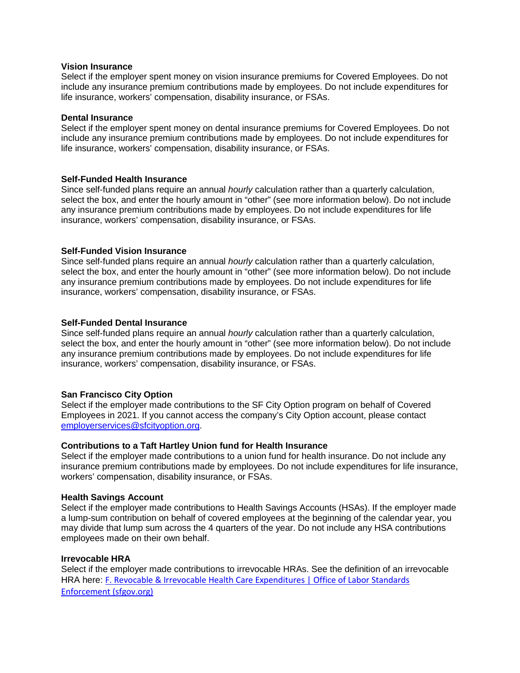#### **Vision Insurance**

Select if the employer spent money on vision insurance premiums for Covered Employees. Do not include any insurance premium contributions made by employees. Do not include expenditures for life insurance, workers' compensation, disability insurance, or FSAs.

#### **Dental Insurance**

Select if the employer spent money on dental insurance premiums for Covered Employees. Do not include any insurance premium contributions made by employees. Do not include expenditures for life insurance, workers' compensation, disability insurance, or FSAs.

#### **Self-Funded Health Insurance**

Since self-funded plans require an annual *hourly* calculation rather than a quarterly calculation, select the box, and enter the hourly amount in "other" (see more information below). Do not include any insurance premium contributions made by employees. Do not include expenditures for life insurance, workers' compensation, disability insurance, or FSAs.

#### **Self-Funded Vision Insurance**

Since self-funded plans require an annual *hourly* calculation rather than a quarterly calculation, select the box, and enter the hourly amount in "other" (see more information below). Do not include any insurance premium contributions made by employees. Do not include expenditures for life insurance, workers' compensation, disability insurance, or FSAs.

#### **Self-Funded Dental Insurance**

Since self-funded plans require an annual *hourly* calculation rather than a quarterly calculation, select the box, and enter the hourly amount in "other" (see more information below). Do not include any insurance premium contributions made by employees. Do not include expenditures for life insurance, workers' compensation, disability insurance, or FSAs.

#### **San Francisco City Option**

Select if the employer made contributions to the SF City Option program on behalf of Covered Employees in 2021. If you cannot access the company's City Option account, please contact [employerservices@sfcityoption.org.](mailto:employerservices@sfcityoption.org)

#### **Contributions to a Taft Hartley Union fund for Health Insurance**

Select if the employer made contributions to a union fund for health insurance. Do not include any insurance premium contributions made by employees. Do not include expenditures for life insurance, workers' compensation, disability insurance, or FSAs.

#### **Health Savings Account**

Select if the employer made contributions to Health Savings Accounts (HSAs). If the employer made a lump-sum contribution on behalf of covered employees at the beginning of the calendar year, you may divide that lump sum across the 4 quarters of the year. Do not include any HSA contributions employees made on their own behalf.

#### **Irrevocable HRA**

Select if the employer made contributions to irrevocable HRAs. See the definition of an irrevocable HRA here: [F. Revocable & Irrevocable Health Care Expenditures | Office of Labor Standards](https://sfgov.org/olse/f-revocable-irrevocable-health-care-expenditures#1)  [Enforcement \(sfgov.org\)](https://sfgov.org/olse/f-revocable-irrevocable-health-care-expenditures#1)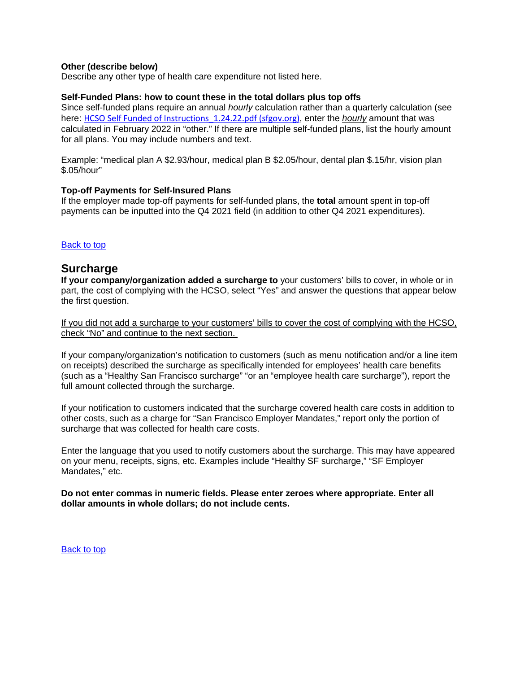#### **Other (describe below)**

Describe any other type of health care expenditure not listed here.

#### **Self-Funded Plans: how to count these in the total dollars plus top offs**

Since self-funded plans require an annual *hourly* calculation rather than a quarterly calculation (see here: [HCSO Self Funded of Instructions\\_1.24.22.pdf \(sfgov.org\)](https://sfgov.org/olse/sites/default/files/HCSO%20Self%20Funded%20of%20Instructions_1.24.22.pdf), enter the *hourly* amount that was calculated in February 2022 in "other." If there are multiple self-funded plans, list the hourly amount for all plans. You may include numbers and text.

Example: "medical plan A \$2.93/hour, medical plan B \$2.05/hour, dental plan \$.15/hr, vision plan \$.05/hour"

#### **Top-off Payments for Self-Insured Plans**

If the employer made top-off payments for self-funded plans, the **total** amount spent in top-off payments can be inputted into the Q4 2021 field (in addition to other Q4 2021 expenditures).

#### [Back to top](https://sfgov.org/olse/employer-annual-reporting-form-instructions#deadline)

### **Surcharge**

**If your company/organization added a surcharge to** your customers' bills to cover, in whole or in part, the cost of complying with the HCSO, select "Yes" and answer the questions that appear below the first question.

If you did not add a surcharge to your customers' bills to cover the cost of complying with the HCSO, check "No" and continue to the next section.

If your company/organization's notification to customers (such as menu notification and/or a line item on receipts) described the surcharge as specifically intended for employees' health care benefits (such as a "Healthy San Francisco surcharge" "or an "employee health care surcharge"), report the full amount collected through the surcharge.

If your notification to customers indicated that the surcharge covered health care costs in addition to other costs, such as a charge for "San Francisco Employer Mandates," report only the portion of surcharge that was collected for health care costs.

Enter the language that you used to notify customers about the surcharge. This may have appeared on your menu, receipts, signs, etc. Examples include "Healthy SF surcharge," "SF Employer Mandates," etc.

**Do not enter commas in numeric fields. Please enter zeroes where appropriate. Enter all dollar amounts in whole dollars; do not include cents.**

[Back to top](https://sfgov.org/olse/employer-annual-reporting-form-instructions#deadline)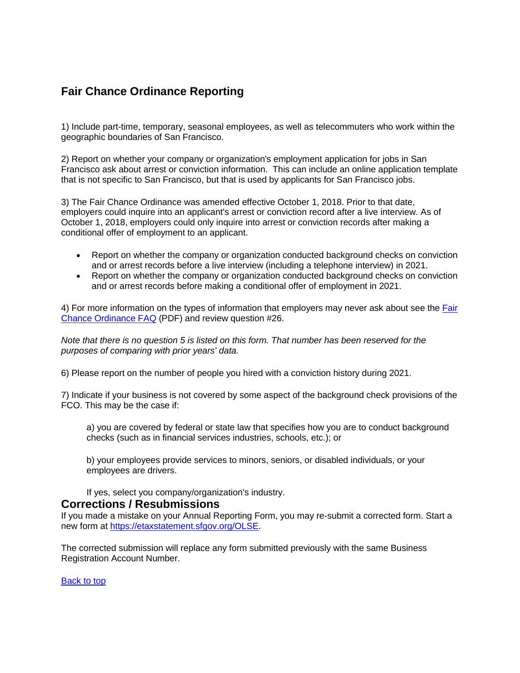### **Fair Chance Ordinance Reporting**

1) Include part-time, temporary, seasonal employees, as well as telecommuters who work within the geographic boundaries of San Francisco.

2) Report on whether your company or organization's employment application for jobs in San Francisco ask about arrest or conviction information. This can include an online application template that is not specific to San Francisco, but that is used by applicants for San Francisco jobs.

3) The Fair Chance Ordinance was amended effective October 1, 2018. Prior to that date, employers could inquire into an applicant's arrest or conviction record after a live interview. As of October 1, 2018, employers could only inquire into arrest or conviction records after making a conditional offer of employment to an applicant.

- Report on whether the company or organization conducted background checks on conviction and or arrest records before a live interview (including a telephone interview) in 2021.
- Report on whether the company or organization conducted background checks on conviction and or arrest records before making a conditional offer of employment in 2021.

4) For more information on the types of information that employers may never ask about see the **Fair** [Chance Ordinance FAQ](https://sfgov.org/olse/modules/showdocument.aspx?documentid=12136) (PDF) and review question #26.

*Note that there is no question 5 is listed on this form. That number has been reserved for the purposes of comparing with prior years' data.* 

6) Please report on the number of people you hired with a conviction history during 2021.

7) Indicate if your business is not covered by some aspect of the background check provisions of the FCO. This may be the case if:

a) you are covered by federal or state law that specifies how you are to conduct background checks (such as in financial services industries, schools, etc.); or

b) your employees provide services to minors, seniors, or disabled individuals, or your employees are drivers.

If yes, select you company/organization's industry.

### **Corrections / Resubmissions**

If you made a mistake on your Annual Reporting Form, you may re-submit a corrected form. Start a new form at [https://etaxstatement.sfgov.org/OLSE.](https://etaxstatement.sfgov.org/OLSE)

The corrected submission will replace any form submitted previously with the same Business Registration Account Number.

[Back to top](https://sfgov.org/olse/employer-annual-reporting-form-instructions#deadline)